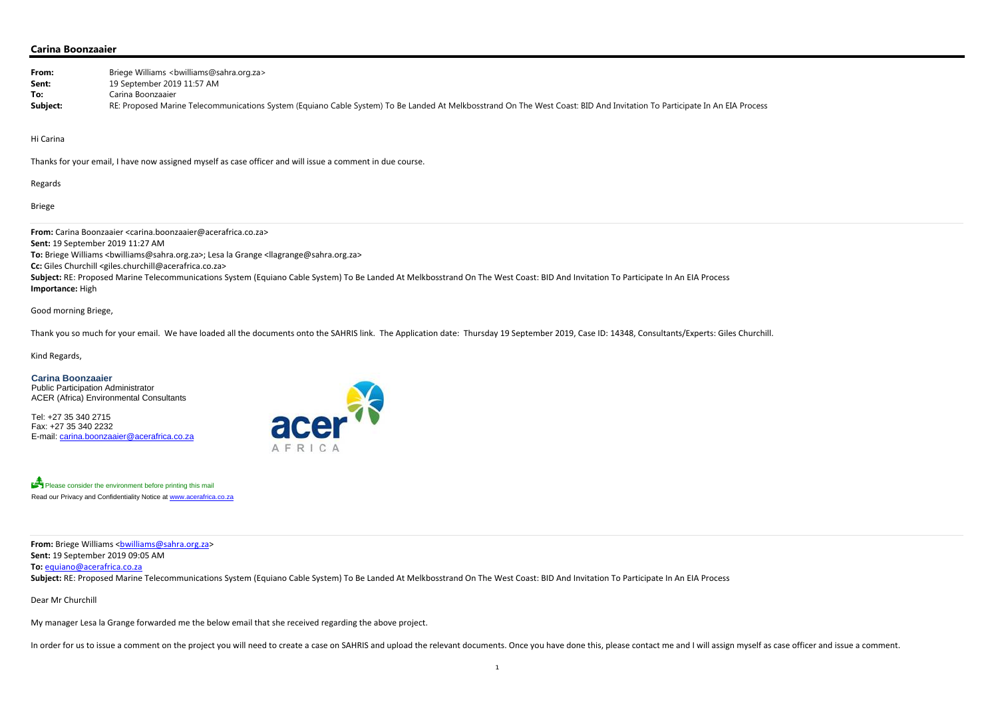## **Carina Boonzaaier**

| From:     | Briege Williams <bwilliams@sahra.org.za></bwilliams@sahra.org.za>                                                                                                         |
|-----------|---------------------------------------------------------------------------------------------------------------------------------------------------------------------------|
| Sent:     | 19 September 2019 11:57 AM                                                                                                                                                |
| To:       | Carina Boonzaaier                                                                                                                                                         |
| Subject:  | RE: Proposed Marine Telecommunications System (Equiano Cable System) To Be Landed At Melkbosstrand On The West Coast: BID And Invitation To Participate In An EIA Process |
|           |                                                                                                                                                                           |
|           |                                                                                                                                                                           |
| Hi Carina |                                                                                                                                                                           |

Thanks for your email, I have now assigned myself as case officer and will issue <sup>a</sup> comment in due course.

Regards

Briege

Subject: RE: Proposed Marine Telecommunications System (Equiano Cable System) To Be Landed At Melkbosstrand On The West Coast: BID And Invitation To Participate In An EIA Process **Importance:** High

**From:** Carina Boonzaaier <carina.boonzaaier@acerafrica.co.za> **Sent:** 19 September 2019 11:27 AM **To:** Briege Williams <bwilliams@sahra.org.za>; Lesa la Grange <llagrange@sahra.org.za> **Cc:** Giles Churchill <giles.churchill@acerafrica.co.za>

**From:** Briege Williams <<u>bwilliams@sahra.org.za</u>> **Sent:** 19 September 2019 09:05 AM **To:** equiano@acerafrica.co.za

Subject: RE: Proposed Marine Telecommunications System (Equiano Cable System) To Be Landed At Melkbosstrand On The West Coast: BID And Invitation To Participate In An EIA Process

Good morning Briege,

Thank you so much for your email. We have loaded all the documents onto the SAHRIS link. The Application date: Thursday 19 September 2019, Case ID: 14348, Consultants/Experts: Giles Churchill.

Kind Regards,

#### **Carina Boonzaaier**  Public Participation Administrator

ACER (Africa) Environmental Consultants

Tel: +27 35 340 2715 Fax: +27 35 340 2232 E-mail: carina.boonzaaier@acerafrica.co.za





Dear Mr Churchill

My manager Lesa la Grange forwarded me the below email that she received regarding the above project.

In order for us to issue a comment on the project you will need to create a case on SAHRIS and upload the relevant documents. Once you have done this, please contact me and I will assign myself as case officer and issue a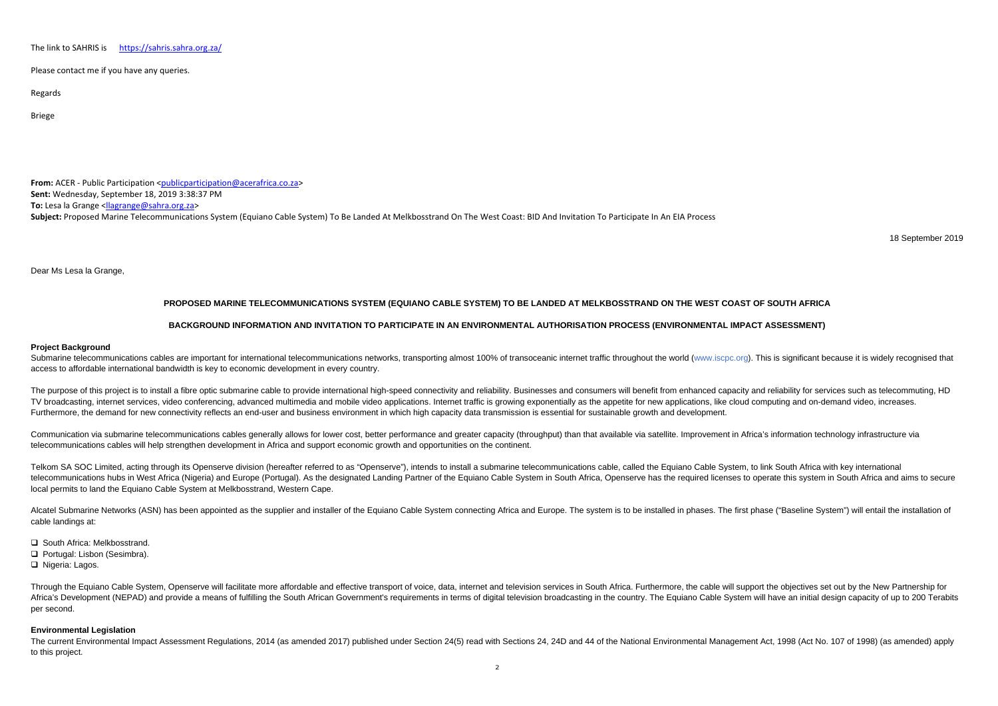The link tohttps://sahris.sahra.org.za/

Please contact me if you have any queries.

Regards

Briege

**From:** ACER - Public Participation <<u>publicparticipation@acerafrica.co.za</u>> **Sent:** Wednesday, September 18, 2019 3:38:37 PM **To:** Lesa la Grange <llagrange@sahra.org.za> **Subject:** Proposed Marine Telecommunications System (Equiano Cable System) To Be Landed At Melkbosstrand On The West Coast: BID And Invitation To Participate In An EIA Process

18 September 2019

Dear Ms Lesa la Grange,

Submarine telecommunications cables are important for international telecommunications networks, transporting almost 100% of transoceanic internet traffic throughout the world (www.iscpc.org). This is significant because i access to affordable international bandwidth is key to economic development in every country.

# **PROPOSED MARINE TELECOMMUNICATIONS SYSTEM (EQUIANO CABLE SYSTEM) TO BE LANDED AT MELKBOSSTRAND ON THE WEST COAST OF SOUTH AFRICA**

## **BACKGROUND INFORMATION AND INVITATION TO PARTICIPATE IN AN ENVIRONMENTAL AUTHORISATION PROCESS (ENVIRONMENTAL IMPACT ASSESSMENT)**

### **Project Background**

The purpose of this project is to install a fibre optic submarine cable to provide international high-speed connectivity and reliability. Businesses and consumers will benefit from enhanced capacity and reliability for ser TV broadcasting, internet services, video conferencing, advanced multimedia and mobile video applications. Internet traffic is growing exponentially as the appetite for new applications, like cloud computing and on-demand Furthermore, the demand for new connectivity reflects an end-user and business environment in which high capacity data transmission is essential for sustainable growth and development.

Communication via submarine telecommunications cables generally allows for lower cost, better performance and greater capacity (throughput) than that available via satellite. Improvement in Africa's information technology telecommunications cables will help strengthen development in Africa and support economic growth and opportunities on the continent.

Telkom SA SOC Limited, acting through its Openserve division (hereafter referred to as "Openserve"), intends to install a submarine telecommunications cable, called the Equiano Cable System, to link South Africa with key i telecommunications hubs in West Africa (Nigeria) and Europe (Portugal). As the designated Landing Partner of the Equiano Cable System in South Africa. Openserve has the required licenses to operate this system in South Afr local permits to land the Equiano Cable System at Melkbosstrand, Western Cape.

Alcatel Submarine Networks (ASN) has been appointed as the supplier and installer of the Equiano Cable System connecting Africa and Europe. The system is to be installed in phases. The first phase ("Baseline System") will cable landings at:

- **□** South Africa: Melkbosstrand.
- Portugal: Lisbon (Sesimbra).

□ Nigeria: Lagos.

Through the Equiano Cable System, Openserve will facilitate more affordable and effective transport of voice, data, internet and television services in South Africa. Furthermore, the cable will support the objectives set o Africa's Development (NEPAD) and provide a means of fulfilling the South African Government's requirements in terms of digital television broadcasting in the country. The Equiano Cable System will have an initial design ca per second.

The current Environmental Impact Assessment Regulations, 2014 (as amended 2017) published under Section 24(5) read with Sections 24, 24D and 44 of the National Environmental Management Act, 1998 (Act No. 107 of 1998) (as a to this project.

### **Environmental Legislation**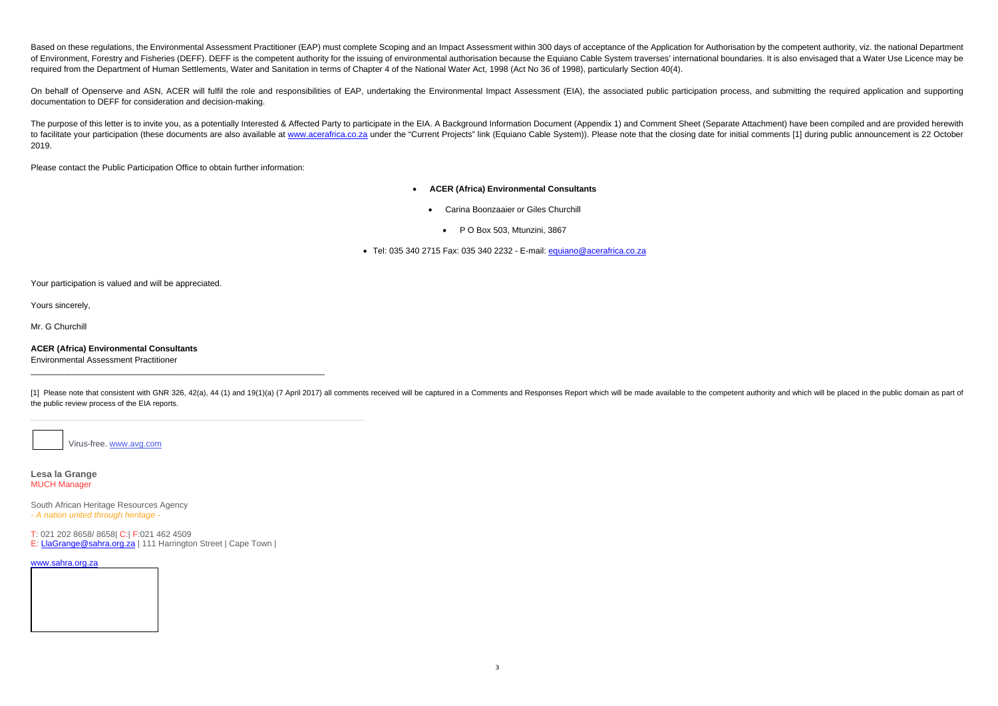Based on these regulations, the Environmental Assessment Practitioner (EAP) must complete Scoping and an Impact Assessment within 300 days of acceptance of the Application for Authorisation by the competent authority, viz, of Environment, Forestry and Fisheries (DEFF). DEFF is the competent authority for the issuing of environmental authorisation because the Equiano Cable System traverses' international boundaries. It is also envisaged that required from the Department of Human Settlements, Water and Sanitation in terms of Chapter 4 of the National Water Act, 1998 (Act No 36 of 1998), particularly Section 40(4).

On behalf of Openserve and ASN, ACER will fulfil the role and responsibilities of EAP, undertaking the Environmental Impact Assessment (EIA), the associated public participation process, and submitting the required applica documentation to DEFF for consideration and decision-making.

The purpose of this letter is to invite you, as a potentially Interested & Affected Party to participate in the EIA. A Background Information Document (Appendix 1) and Comment Sheet (Separate Attachment) have been compiled to facilitate your participation (these documents are also available at www.acerafrica.co.za under the "Current Projects" link (Equiano Cable System)). Please note that the closing date for initial comments [1] during publ 2019.

[1] Please note that consistent with GNR 326, 42(a), 44 (1) and 19(1)(a) (7 April 2017) all comments received will be captured in a Comments and Responses Report which will be made available to the competent authority and the public review process of the EIA reports.

Please contact the Public Participation Office to obtain further information:

- $\bullet$  **ACER (Africa) Environmental Consultants** 
	- $\bullet$  Carina Boonzaaier or Giles Churchill
		- P O Box 503, Mtunzini, 3867
- Tel: 035 340 2715 Fax: 035 340 2232 E-mail: <u>equiano@acerafrica.co.za</u>

Your participation is valued and will be appreciated.

Yours sincerely,

Mr. G Churchill

**ACER (Africa) Environmental Consultants**  Environmental Assessment Practitioner

Virus-free. www.avg.com

**Lesa la Grange** MUCH Manager

South African Heritage Resources Agency *- A nation united through heritage -*

T: 021 202 8658/ 8658| C:| F:021 462 4509

E: LlaGrange@sahra.org.za | 111 Harrington Street | Cape Town |

#### www.sahra.org.za